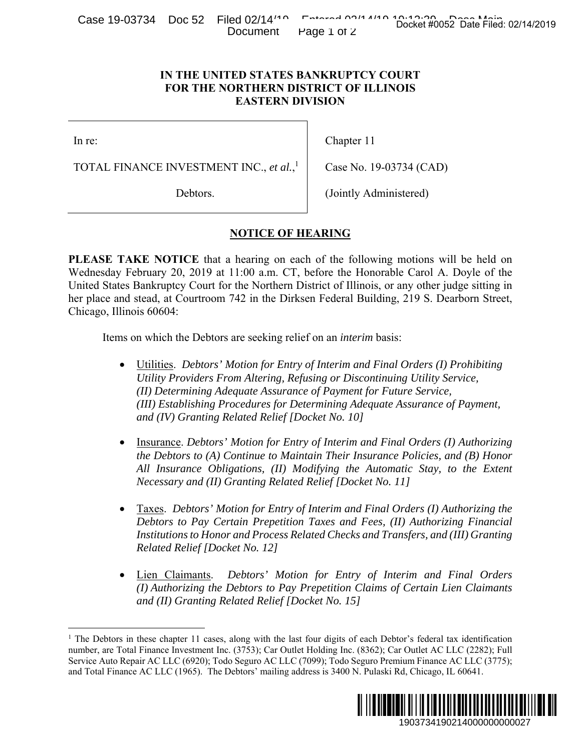Case 19-03734 Doc 52 Filed 02/14<sup>140</sup> Entered 02/14/19 10:13:30 Docket #0052 Date Filed: 02/14/2019 Document Page 1 of 2

## **IN THE UNITED STATES BANKRUPTCY COURT FOR THE NORTHERN DISTRICT OF ILLINOIS EASTERN DIVISION**

In re:

1

TOTAL FINANCE INVESTMENT INC., *et al.*, 1

Debtors.

Chapter 11

Case No. 19-03734 (CAD)

(Jointly Administered)

## **NOTICE OF HEARING**

**PLEASE TAKE NOTICE** that a hearing on each of the following motions will be held on Wednesday February 20, 2019 at 11:00 a.m. CT, before the Honorable Carol A. Doyle of the United States Bankruptcy Court for the Northern District of Illinois, or any other judge sitting in her place and stead, at Courtroom 742 in the Dirksen Federal Building, 219 S. Dearborn Street, Chicago, Illinois 60604: Docket #0052 Date Filed: 02/14/2019<br>
URT<br>
URT<br>
URT<br>
OIS<br>
34 (CAD)<br>
istered)<br>
motions will be held on<br>
le Carol A. Doyle of the<br>
any other judge sitting in<br>
219 S. Dearborn Street,<br>
3:<br>
3:<br> *Orders (1) Prohibiting*<br>
mg Uti

Items on which the Debtors are seeking relief on an *interim* basis:

- Utilities. *Debtors' Motion for Entry of Interim and Final Orders (I) Prohibiting Utility Providers From Altering, Refusing or Discontinuing Utility Service, (II) Determining Adequate Assurance of Payment for Future Service, (III) Establishing Procedures for Determining Adequate Assurance of Payment, and (IV) Granting Related Relief [Docket No. 10]*
- Insurance. *Debtors' Motion for Entry of Interim and Final Orders (I) Authorizing the Debtors to (A) Continue to Maintain Their Insurance Policies, and (B) Honor All Insurance Obligations, (II) Modifying the Automatic Stay, to the Extent Necessary and (II) Granting Related Relief [Docket No. 11]*
- Taxes. *Debtors' Motion for Entry of Interim and Final Orders (I) Authorizing the Debtors to Pay Certain Prepetition Taxes and Fees, (II) Authorizing Financial Institutions to Honor and Process Related Checks and Transfers, and (III) Granting Related Relief [Docket No. 12]*
- Lien Claimants. *Debtors' Motion for Entry of Interim and Final Orders (I) Authorizing the Debtors to Pay Prepetition Claims of Certain Lien Claimants and (II) Granting Related Relief [Docket No. 15]*

<sup>&</sup>lt;sup>1</sup> The Debtors in these chapter 11 cases, along with the last four digits of each Debtor's federal tax identification number, are Total Finance Investment Inc. (3753); Car Outlet Holding Inc. (8362); Car Outlet AC LLC (2282); Full Service Auto Repair AC LLC (6920); Todo Seguro AC LLC (7099); Todo Seguro Premium Finance AC LLC (3775); and Total Finance AC LLC (1965). The Debtors' mailing address is 3400 N. Pulaski Rd, Chicago, IL 60641.